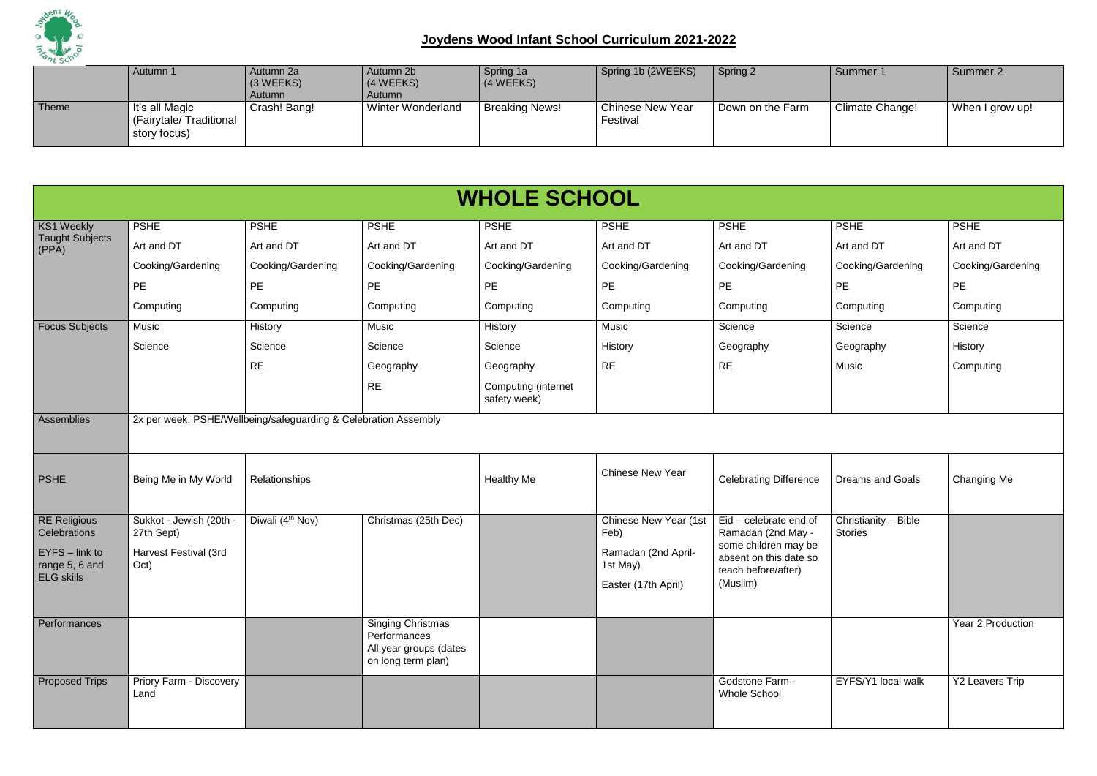

|       | Autumn 1                                                 | Autumn 2a<br>$(3 \, \text{WEEKS})$<br>Autumn | Autumn 2b<br>(4 WEEKS)<br>Autumn | Spring 1a<br>(4 WEEKS) | Spring 1b (2WEEKS)                  | Spring 2         | Summer 1               | Summer 2        |
|-------|----------------------------------------------------------|----------------------------------------------|----------------------------------|------------------------|-------------------------------------|------------------|------------------------|-----------------|
| Theme | It's all Magic<br>(Fairytale/Traditional<br>story focus) | Crash! Bang!                                 | <b>Winter Wonderland</b>         | <b>Breaking News!</b>  | <b>Chinese New Year</b><br>Festival | Down on the Farm | <b>Climate Change!</b> | When I grow up! |

|                                                                                                | <b>WHOLE SCHOOL</b>                                                    |                                                                 |                                                                                          |                                     |                                                                                                |                                                                                                                                   |                                        |                    |  |  |  |  |  |
|------------------------------------------------------------------------------------------------|------------------------------------------------------------------------|-----------------------------------------------------------------|------------------------------------------------------------------------------------------|-------------------------------------|------------------------------------------------------------------------------------------------|-----------------------------------------------------------------------------------------------------------------------------------|----------------------------------------|--------------------|--|--|--|--|--|
| <b>KS1 Weekly</b>                                                                              | <b>PSHE</b>                                                            | <b>PSHE</b>                                                     | <b>PSHE</b>                                                                              | <b>PSHE</b>                         | <b>PSHE</b>                                                                                    | <b>PSHE</b>                                                                                                                       | <b>PSHE</b>                            | <b>PSHE</b>        |  |  |  |  |  |
| <b>Taught Subjects</b><br>(PPA)                                                                | Art and DT                                                             | Art and DT                                                      | Art and DT                                                                               | Art and DT                          | Art and DT                                                                                     | Art and DT                                                                                                                        | Art and DT                             | Art and DT         |  |  |  |  |  |
|                                                                                                | Cooking/Gardening                                                      | Cooking/Gardening                                               | Cooking/Gardening                                                                        | Cooking/Gardening                   | Cooking/Gardening                                                                              | Cooking/Gardening                                                                                                                 | Cooking/Gardening                      | Cooking/Gardening  |  |  |  |  |  |
|                                                                                                | PE                                                                     | PE                                                              | PE                                                                                       | <b>PE</b>                           | PE                                                                                             | PE                                                                                                                                | PE                                     | PE                 |  |  |  |  |  |
|                                                                                                | Computing                                                              | Computing                                                       | Computing                                                                                | Computing                           | Computing                                                                                      | Computing                                                                                                                         | Computing                              | Computing          |  |  |  |  |  |
| <b>Focus Subjects</b>                                                                          | Music                                                                  | History                                                         | Music                                                                                    | History                             | Music                                                                                          | Science                                                                                                                           | Science                                | Science            |  |  |  |  |  |
|                                                                                                | Science                                                                | Science                                                         | Science                                                                                  | Science                             | History                                                                                        | Geography                                                                                                                         | Geography                              | History            |  |  |  |  |  |
|                                                                                                |                                                                        | <b>RE</b>                                                       | Geography                                                                                | Geography                           | <b>RE</b>                                                                                      | <b>RE</b>                                                                                                                         | Music                                  | Computing          |  |  |  |  |  |
|                                                                                                |                                                                        |                                                                 | <b>RE</b>                                                                                | Computing (internet<br>safety week) |                                                                                                |                                                                                                                                   |                                        |                    |  |  |  |  |  |
| Assemblies                                                                                     |                                                                        | 2x per week: PSHE/Wellbeing/safeguarding & Celebration Assembly |                                                                                          |                                     |                                                                                                |                                                                                                                                   |                                        |                    |  |  |  |  |  |
| <b>PSHE</b>                                                                                    | Being Me in My World                                                   | Relationships                                                   |                                                                                          | <b>Healthy Me</b>                   | <b>Chinese New Year</b>                                                                        | <b>Celebrating Difference</b>                                                                                                     | <b>Dreams and Goals</b>                | <b>Changing Me</b> |  |  |  |  |  |
| <b>RE Religious</b><br>Celebrations<br>$EYFS - link to$<br>range 5, 6 and<br><b>ELG</b> skills | Sukkot - Jewish (20th -<br>27th Sept)<br>Harvest Festival (3rd<br>Oct) | Diwali (4 <sup>th</sup> Nov)                                    | Christmas (25th Dec)                                                                     |                                     | <b>Chinese New Year (1st</b><br>Feb)<br>Ramadan (2nd April-<br>1st May)<br>Easter (17th April) | Eid - celebrate end of<br>Ramadan (2nd May -<br>some children may be<br>absent on this date so<br>teach before/after)<br>(Muslim) | Christianity - Bible<br><b>Stories</b> |                    |  |  |  |  |  |
| Performances                                                                                   |                                                                        |                                                                 | <b>Singing Christmas</b><br>Performances<br>All year groups (dates<br>on long term plan) |                                     |                                                                                                |                                                                                                                                   |                                        | Year 2 Production  |  |  |  |  |  |
| <b>Proposed Trips</b>                                                                          | Priory Farm - Discovery<br>Land                                        |                                                                 |                                                                                          |                                     |                                                                                                | Godstone Farm -<br>Whole School                                                                                                   | EYFS/Y1 local walk                     | Y2 Leavers Trip    |  |  |  |  |  |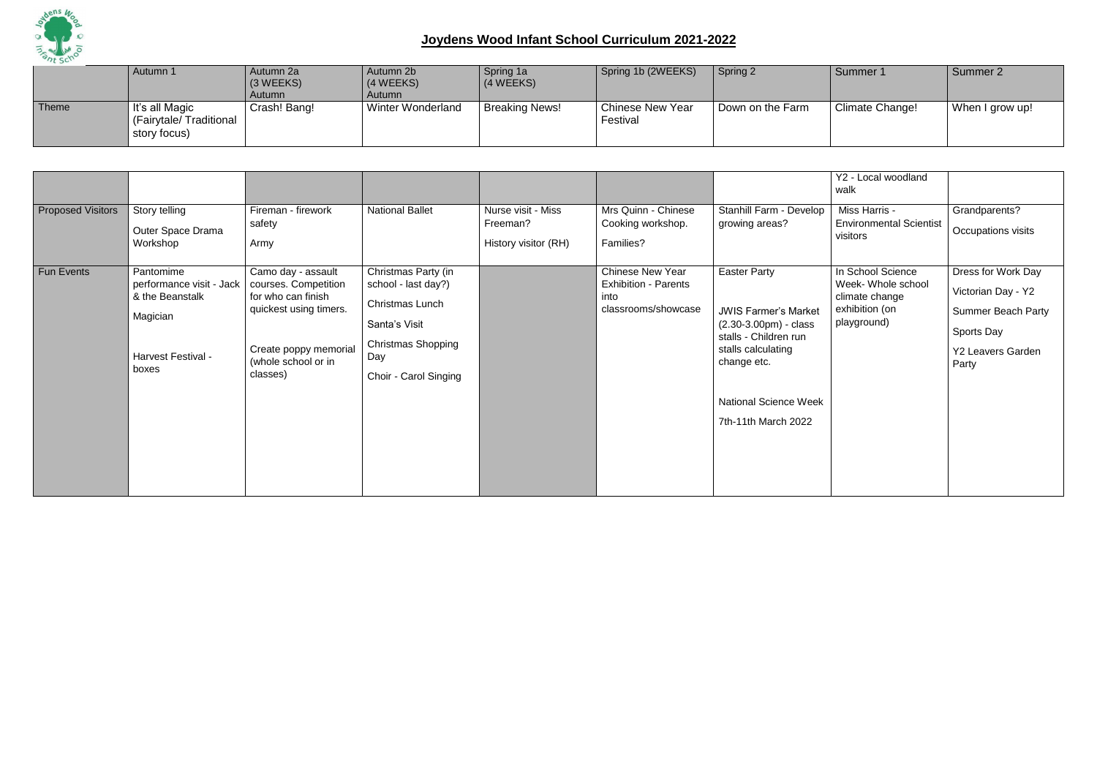

|       | Autumn 1                                                         | Autumn 2a<br>$(3 \, \text{WEEKS})$<br>Autumn | Autumn 2b<br>(4 WEEKS)<br>Autumn | Spring 1a<br>(4 WEEKS) | Spring 1b (2WEEKS)                  | Spring 2         | Summer 1        | Summer 2        |
|-------|------------------------------------------------------------------|----------------------------------------------|----------------------------------|------------------------|-------------------------------------|------------------|-----------------|-----------------|
| Theme | $\vert$ It's all Magic<br>(Fairytale/Traditional<br>story focus) | Crash! Bang!                                 | <b>Winter Wonderland</b>         | <b>Breaking News!</b>  | <b>Chinese New Year</b><br>Festival | Down on the Farm | Climate Change! | When I grow up! |

|                          |                                                                                                     |                                                                                                                                                        |                                                                                                                                             |                                                        |                                                                                       |                                                                                                                                                                                                    | Y2 - Local woodland<br>walk                                                                |                                                                                                                          |
|--------------------------|-----------------------------------------------------------------------------------------------------|--------------------------------------------------------------------------------------------------------------------------------------------------------|---------------------------------------------------------------------------------------------------------------------------------------------|--------------------------------------------------------|---------------------------------------------------------------------------------------|----------------------------------------------------------------------------------------------------------------------------------------------------------------------------------------------------|--------------------------------------------------------------------------------------------|--------------------------------------------------------------------------------------------------------------------------|
| <b>Proposed Visitors</b> | Story telling<br>Outer Space Drama<br>Workshop                                                      | Fireman - firework<br>safety<br>Army                                                                                                                   | <b>National Ballet</b>                                                                                                                      | Nurse visit - Miss<br>Freeman?<br>History visitor (RH) | Mrs Quinn - Chinese<br>Cooking workshop.<br>Families?                                 | Stanhill Farm - Develop<br>growing areas?                                                                                                                                                          | Miss Harris -<br><b>Environmental Scientist</b><br>visitors                                | Grandparents?<br>Occupations visits                                                                                      |
| Fun Events               | Pantomime<br>performance visit - Jack<br>& the Beanstalk<br>Magician<br>Harvest Festival -<br>boxes | Camo day - assault<br>courses. Competition<br>for who can finish<br>quickest using timers.<br>Create poppy memorial<br>(whole school or in<br>classes) | Christmas Party (in<br>school - last day?)<br>Christmas Lunch<br>Santa's Visit<br><b>Christmas Shopping</b><br>Day<br>Choir - Carol Singing |                                                        | <b>Chinese New Year</b><br><b>Exhibition - Parents</b><br>into<br>classrooms/showcase | <b>Easter Party</b><br><b>JWIS Farmer's Market</b><br>$(2.30-3.00pm) - class$<br>stalls - Children run<br>stalls calculating<br>change etc.<br><b>National Science Week</b><br>7th-11th March 2022 | In School Science<br>Week- Whole school<br>climate change<br>exhibition (on<br>playground) | Dress for Work Day<br>Victorian Day - Y2<br><b>Summer Beach Party</b><br>Sports Day<br><b>Y2 Leavers Garden</b><br>Party |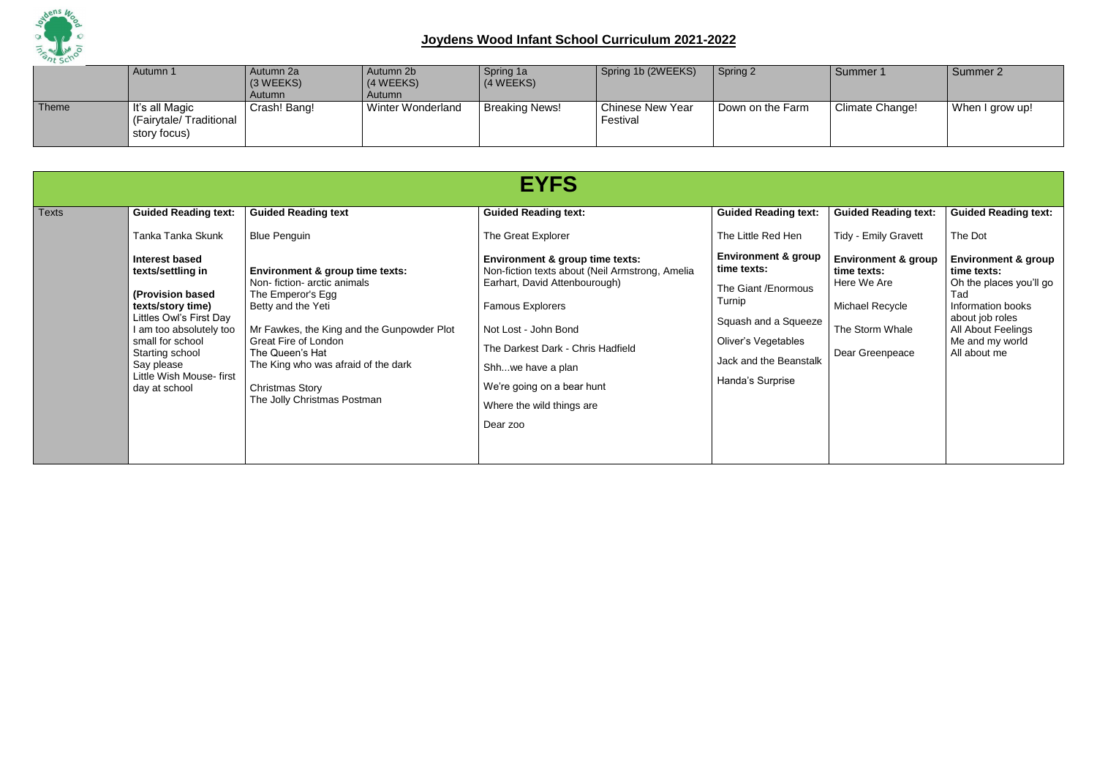

|       | Autumn 1                                                 | Autumn 2a<br>$(3 \, \text{WEEKS})$<br>Autumn | Autumn 2b<br>$(4 \text{ WEEKS})$<br><b>Autumn</b> | Spring 1a<br>(4 WEEKS) | Spring 1b (2WEEKS)           | Spring 2         | Summer 1               | Summer 2        |
|-------|----------------------------------------------------------|----------------------------------------------|---------------------------------------------------|------------------------|------------------------------|------------------|------------------------|-----------------|
| Theme | It's all Magic<br>(Fairytale/Traditional<br>story focus) | Crash! Bang!                                 | <b>Winter Wonderland</b>                          | <b>Breaking News!</b>  | Chinese New Year<br>Festival | Down on the Farm | <b>Climate Change!</b> | When I grow up! |

|              |                                                                                                                                                                                                                                                                                                       |                                                                                                                                                                                                                                                                                                                                                                           | <b>EYFS</b>                                                                                                                                                                                                                                                                                                                                                             |                                                                                                                                                                                                                                   |                                                                                                                                                                                     |                                                                                                                                                                                                                            |
|--------------|-------------------------------------------------------------------------------------------------------------------------------------------------------------------------------------------------------------------------------------------------------------------------------------------------------|---------------------------------------------------------------------------------------------------------------------------------------------------------------------------------------------------------------------------------------------------------------------------------------------------------------------------------------------------------------------------|-------------------------------------------------------------------------------------------------------------------------------------------------------------------------------------------------------------------------------------------------------------------------------------------------------------------------------------------------------------------------|-----------------------------------------------------------------------------------------------------------------------------------------------------------------------------------------------------------------------------------|-------------------------------------------------------------------------------------------------------------------------------------------------------------------------------------|----------------------------------------------------------------------------------------------------------------------------------------------------------------------------------------------------------------------------|
| <b>Texts</b> | <b>Guided Reading text:</b><br>Tanka Tanka Skunk<br><b>Interest based</b><br>texts/settling in<br>(Provision based<br>texts/story time)<br>Littles Owl's First Day<br>I am too absolutely too<br>small for school<br><b>Starting school</b><br>Say please<br>Little Wish Mouse-first<br>day at school | <b>Guided Reading text</b><br><b>Blue Penguin</b><br><b>Environment &amp; group time texts:</b><br>Non-fiction- arctic animals<br>The Emperor's Egg<br>Betty and the Yeti<br>Mr Fawkes, the King and the Gunpowder Plot<br><b>Great Fire of London</b><br>The Queen's Hat<br>The King who was afraid of the dark<br><b>Christmas Story</b><br>The Jolly Christmas Postman | <b>Guided Reading text:</b><br>The Great Explorer<br><b>Environment &amp; group time texts:</b><br>Non-fiction texts about (Neil Armstrong, Amelia<br>Earhart, David Attenbourough)<br><b>Famous Explorers</b><br>Not Lost - John Bond<br>The Darkest Dark - Chris Hadfield<br>Shhwe have a plan<br>We're going on a bear hunt<br>Where the wild things are<br>Dear zoo | <b>Guided Reading text:</b><br>The Little Red Hen<br><b>Environment &amp; group</b><br>time texts:<br>The Giant / Enormous<br>Turnip<br>Squash and a Squeeze<br>Oliver's Vegetables<br>Jack and the Beanstalk<br>Handa's Surprise | <b>Guided Reading text:</b><br><b>Tidy - Emily Gravett</b><br><b>Environment &amp; group</b><br>time texts:<br>Here We Are<br>Michael Recycle<br>The Storm Whale<br>Dear Greenpeace | <b>Guided Reading text:</b><br>The Dot<br><b>Environment &amp; group</b><br>time texts:<br>Oh the places you'll go<br>Tad<br>Information books<br>about job roles<br>All About Feelings<br>Me and my world<br>All about me |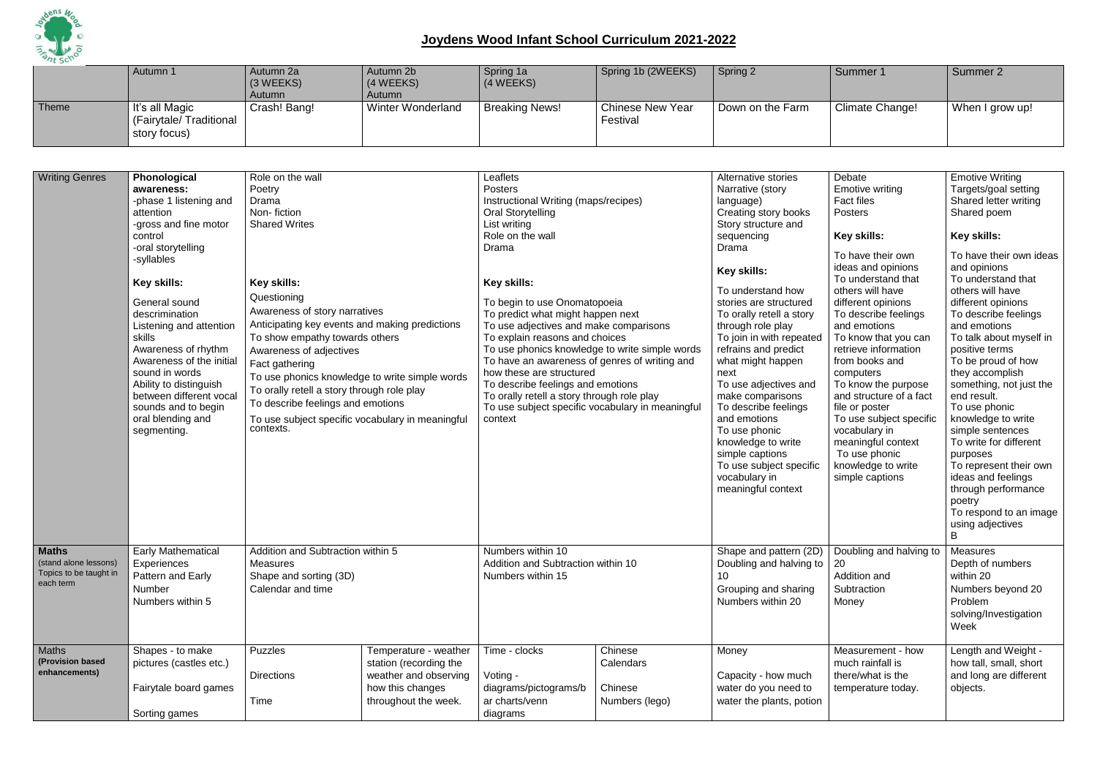

|       | Autumn 1                                                 | Autumn 2a<br>(3 WEEKS)<br>Autumn | Autumn 2b<br>(4 WEEKS)<br>Autumn | Spring 1a<br>$(4 \, \text{WEEKS})$ | Spring 1b (2WEEKS)           | Spring 2         | Summer 1        | Summer 2        |
|-------|----------------------------------------------------------|----------------------------------|----------------------------------|------------------------------------|------------------------------|------------------|-----------------|-----------------|
| Theme | It's all Magic<br>(Fairytale/Traditional<br>story focus) | Crash! Bang!                     | <b>Winter Wonderland</b>         | <b>Breaking News!</b>              | Chinese New Year<br>Festival | Down on the Farm | Climate Change! | When I grow up! |

| <b>Writing Genres</b>                                                        | Phonological<br>awareness:<br>-phase 1 listening and<br>attention<br>-gross and fine motor<br>control<br>-oral storytelling<br>-syllables<br>Key skills:<br>General sound<br>descrimination<br>Listening and attention<br>skills<br>Awareness of rhythm<br>Awareness of the initial<br>sound in words<br>Ability to distinguish<br>between different vocal<br>sounds and to begin<br>oral blending and<br>segmenting. | Role on the wall<br>Poetry<br>Drama<br>Non-fiction<br><b>Shared Writes</b><br><b>Key skills:</b><br>Questioning<br>Awareness of story narratives<br>Anticipating key events and making predictions<br>To show empathy towards others<br>Awareness of adjectives<br>Fact gathering<br>To use phonics knowledge to write simple words<br>To orally retell a story through role play<br>To describe feelings and emotions<br>To use subject specific vocabulary in meaningful<br>contexts. |                                                                                                                      | Leaflets<br>Posters<br>Instructional Writing (maps/recipes)<br><b>Oral Storytelling</b><br>List writing<br>Role on the wall<br>Drama<br>Key skills:<br>To begin to use Onomatopoeia<br>To predict what might happen next<br>To use adjectives and make comparisons<br>To explain reasons and choices<br>To have an awareness of genres of writing and<br>how these are structured<br>To describe feelings and emotions<br>To orally retell a story through role play<br>To use subject specific vocabulary in meaningful<br>context | To use phonics knowledge to write simple words    | Alternative stories<br>Narrative (story<br>language)<br>Creating story books<br>Story structure and<br>sequencing<br>Drama<br>Key skills:<br>To understand how<br>stories are structured<br>To orally retell a story<br>through role play<br>To join in with repeated<br>refrains and predict<br>what might happen<br>next<br>To use adjectives and<br>make comparisons<br>To describe feelings<br>and emotions<br>To use phonic<br>knowledge to write<br>simple captions<br>To use subject specific<br>vocabulary in<br>meaningful context | Debate<br><b>Emotive writing</b><br><b>Fact files</b><br>Posters<br>Key skills:<br>To have their own<br>ideas and opinions<br>To understand that<br>others will have<br>different opinions<br>To describe feelings<br>and emotions<br>To know that you can<br>retrieve information<br>from books and<br>computers<br>To know the purpose<br>and structure of a fact<br>file or poster<br>To use subject specific<br>vocabulary in<br>meaningful context<br>To use phonic<br>knowledge to write<br>simple captions | <b>Emotive Writing</b><br>Targets/goal setting<br>Shared letter writing<br>Shared poem<br>Key skills:<br>To have their own ideas<br>and opinions<br>To understand that<br>others will have<br>different opinions<br>To describe feelings<br>and emotions<br>To talk about myself in<br>positive terms<br>To be proud of how<br>they accomplish<br>something, not just the<br>end result.<br>To use phonic<br>knowledge to write<br>simple sentences<br>To write for different<br>purposes<br>To represent their own<br>ideas and feelings<br>through performance<br>poetry<br>To respond to an image<br>using adjectives<br>B |
|------------------------------------------------------------------------------|-----------------------------------------------------------------------------------------------------------------------------------------------------------------------------------------------------------------------------------------------------------------------------------------------------------------------------------------------------------------------------------------------------------------------|-----------------------------------------------------------------------------------------------------------------------------------------------------------------------------------------------------------------------------------------------------------------------------------------------------------------------------------------------------------------------------------------------------------------------------------------------------------------------------------------|----------------------------------------------------------------------------------------------------------------------|-------------------------------------------------------------------------------------------------------------------------------------------------------------------------------------------------------------------------------------------------------------------------------------------------------------------------------------------------------------------------------------------------------------------------------------------------------------------------------------------------------------------------------------|---------------------------------------------------|---------------------------------------------------------------------------------------------------------------------------------------------------------------------------------------------------------------------------------------------------------------------------------------------------------------------------------------------------------------------------------------------------------------------------------------------------------------------------------------------------------------------------------------------|-------------------------------------------------------------------------------------------------------------------------------------------------------------------------------------------------------------------------------------------------------------------------------------------------------------------------------------------------------------------------------------------------------------------------------------------------------------------------------------------------------------------|-------------------------------------------------------------------------------------------------------------------------------------------------------------------------------------------------------------------------------------------------------------------------------------------------------------------------------------------------------------------------------------------------------------------------------------------------------------------------------------------------------------------------------------------------------------------------------------------------------------------------------|
| <b>Maths</b><br>(stand alone lessons)<br>Topics to be taught in<br>each term | <b>Early Mathematical</b><br>Experiences<br>Pattern and Early<br>Number<br>Numbers within 5                                                                                                                                                                                                                                                                                                                           | Addition and Subtraction within 5<br><b>Measures</b><br>Shape and sorting (3D)<br>Calendar and time                                                                                                                                                                                                                                                                                                                                                                                     |                                                                                                                      | Numbers within 10<br>Addition and Subtraction within 10<br>Numbers within 15                                                                                                                                                                                                                                                                                                                                                                                                                                                        |                                                   | Shape and pattern (2D)<br>Doubling and halving to  <br>10<br>Grouping and sharing<br>Numbers within 20                                                                                                                                                                                                                                                                                                                                                                                                                                      | Doubling and halving to<br>20<br>Addition and<br>Subtraction<br>Money                                                                                                                                                                                                                                                                                                                                                                                                                                             | <b>Measures</b><br>Depth of numbers<br>within 20<br>Numbers beyond 20<br>Problem<br>solving/Investigation<br>Week                                                                                                                                                                                                                                                                                                                                                                                                                                                                                                             |
| Maths<br>(Provision based<br>enhancements)                                   | Shapes - to make<br>pictures (castles etc.)<br>Fairytale board games<br>Sorting games                                                                                                                                                                                                                                                                                                                                 | <b>Puzzles</b><br><b>Directions</b><br>Time                                                                                                                                                                                                                                                                                                                                                                                                                                             | Temperature - weather<br>station (recording the<br>weather and observing<br>how this changes<br>throughout the week. | Time - clocks<br>Voting -<br>diagrams/pictograms/b<br>ar charts/venn<br>diagrams                                                                                                                                                                                                                                                                                                                                                                                                                                                    | Chinese<br>Calendars<br>Chinese<br>Numbers (lego) | Money<br>Capacity - how much<br>water do you need to<br>water the plants, potion                                                                                                                                                                                                                                                                                                                                                                                                                                                            | Measurement - how<br>much rainfall is<br>there/what is the<br>temperature today.                                                                                                                                                                                                                                                                                                                                                                                                                                  | Length and Weight -<br>how tall, small, short<br>and long are different<br>objects.                                                                                                                                                                                                                                                                                                                                                                                                                                                                                                                                           |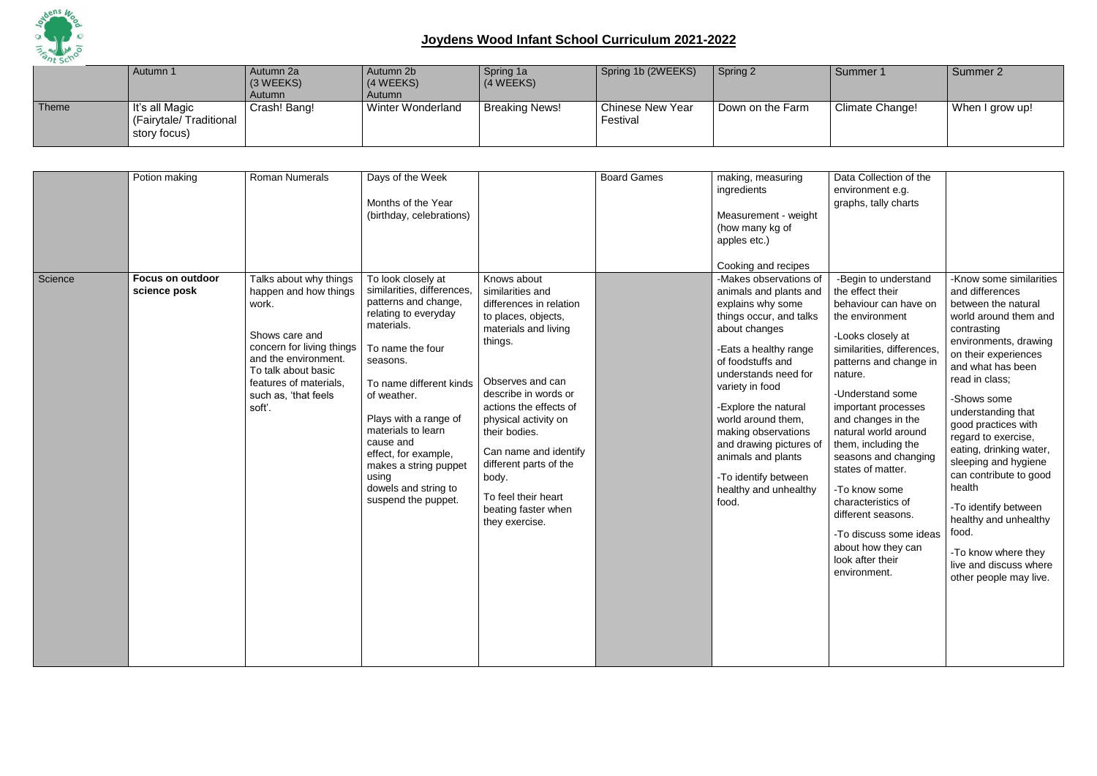

|       | Autumn 1                                                         | Autumn 2a<br>$(3 \, \text{WEEKS})$<br>Autumn | Autumn 2b<br>(4 WEEKS)<br>Autumn | Spring 1a<br>(4 WEEKS) | Spring 1b (2WEEKS)                  | Spring 2         | Summer 1        | Summer 2        |
|-------|------------------------------------------------------------------|----------------------------------------------|----------------------------------|------------------------|-------------------------------------|------------------|-----------------|-----------------|
| Theme | $\vert$ It's all Magic<br>(Fairytale/Traditional<br>story focus) | Crash! Bang!                                 | <b>Winter Wonderland</b>         | <b>Breaking News!</b>  | <b>Chinese New Year</b><br>Festival | Down on the Farm | Climate Change! | When I grow up! |

| Science | Potion making<br><b>Focus on outdoor</b><br>science posk | Roman Numerals<br>Talks about why things<br>happen and how things                                                                                               | Days of the Week<br>Months of the Year<br>(birthday, celebrations)<br>To look closely at<br>similarities, differences,                                                                                                                                                                                    | Knows about<br>similarities and                                                                                                                                                                                                                                                                                              | <b>Board Games</b> | making, measuring<br>ingredients<br>Measurement - weight<br>(how many kg of<br>apples etc.)<br>Cooking and recipes<br>-Makes observations of<br>animals and plants and                                                                                                                                                                 |
|---------|----------------------------------------------------------|-----------------------------------------------------------------------------------------------------------------------------------------------------------------|-----------------------------------------------------------------------------------------------------------------------------------------------------------------------------------------------------------------------------------------------------------------------------------------------------------|------------------------------------------------------------------------------------------------------------------------------------------------------------------------------------------------------------------------------------------------------------------------------------------------------------------------------|--------------------|----------------------------------------------------------------------------------------------------------------------------------------------------------------------------------------------------------------------------------------------------------------------------------------------------------------------------------------|
|         |                                                          | work.<br>Shows care and<br>concern for living things<br>and the environment.<br>To talk about basic<br>features of materials,<br>such as, 'that feels<br>soft'. | patterns and change,<br>relating to everyday<br>materials.<br>To name the four<br>seasons.<br>To name different kinds<br>of weather.<br>Plays with a range of<br>materials to learn<br>cause and<br>effect, for example,<br>makes a string puppet<br>using<br>dowels and string to<br>suspend the puppet. | differences in relation<br>to places, objects,<br>materials and living<br>things.<br>Observes and can<br>describe in words or<br>actions the effects of<br>physical activity on<br>their bodies.<br>Can name and identify<br>different parts of the<br>body.<br>To feel their heart<br>beating faster when<br>they exercise. |                    | explains why some<br>things occur, and talks<br>about changes<br>-Eats a healthy range<br>of foodstuffs and<br>understands need for<br>variety in food<br>-Explore the natural<br>world around them,<br>making observations<br>and drawing pictures of<br>animals and plants<br>-To identify between<br>healthy and unhealthy<br>food. |

| Data Collection of the                                                                                                                                                     |                                                                                                                                                                        |
|----------------------------------------------------------------------------------------------------------------------------------------------------------------------------|------------------------------------------------------------------------------------------------------------------------------------------------------------------------|
| environment e.g.                                                                                                                                                           |                                                                                                                                                                        |
| graphs, tally charts                                                                                                                                                       |                                                                                                                                                                        |
|                                                                                                                                                                            |                                                                                                                                                                        |
| -Begin to understand                                                                                                                                                       | -Know some similarities                                                                                                                                                |
| the effect their                                                                                                                                                           | and differences<br>between the natural                                                                                                                                 |
| behaviour can have on<br>the environment                                                                                                                                   | world around them and                                                                                                                                                  |
| -Looks closely at<br>similarities, differences,<br>patterns and change in<br>nature.                                                                                       | contrasting<br>environments, drawing<br>on their experiences<br>and what has been<br>read in class;                                                                    |
| -Understand some<br>important processes<br>and changes in the<br>natural world around<br>them, including the<br>seasons and changing<br>states of matter.<br>-To know some | -Shows some<br>understanding that<br>good practices with<br>regard to exercise,<br>eating, drinking water,<br>sleeping and hygiene<br>can contribute to good<br>health |
| characteristics of<br>different seasons.                                                                                                                                   | -To identify between<br>healthy and unhealthy                                                                                                                          |
| -To discuss some ideas                                                                                                                                                     | food.                                                                                                                                                                  |
| about how they can<br>look after their<br>environment.                                                                                                                     | -To know where they<br>live and discuss where<br>other people may live.                                                                                                |
|                                                                                                                                                                            |                                                                                                                                                                        |
|                                                                                                                                                                            |                                                                                                                                                                        |
|                                                                                                                                                                            |                                                                                                                                                                        |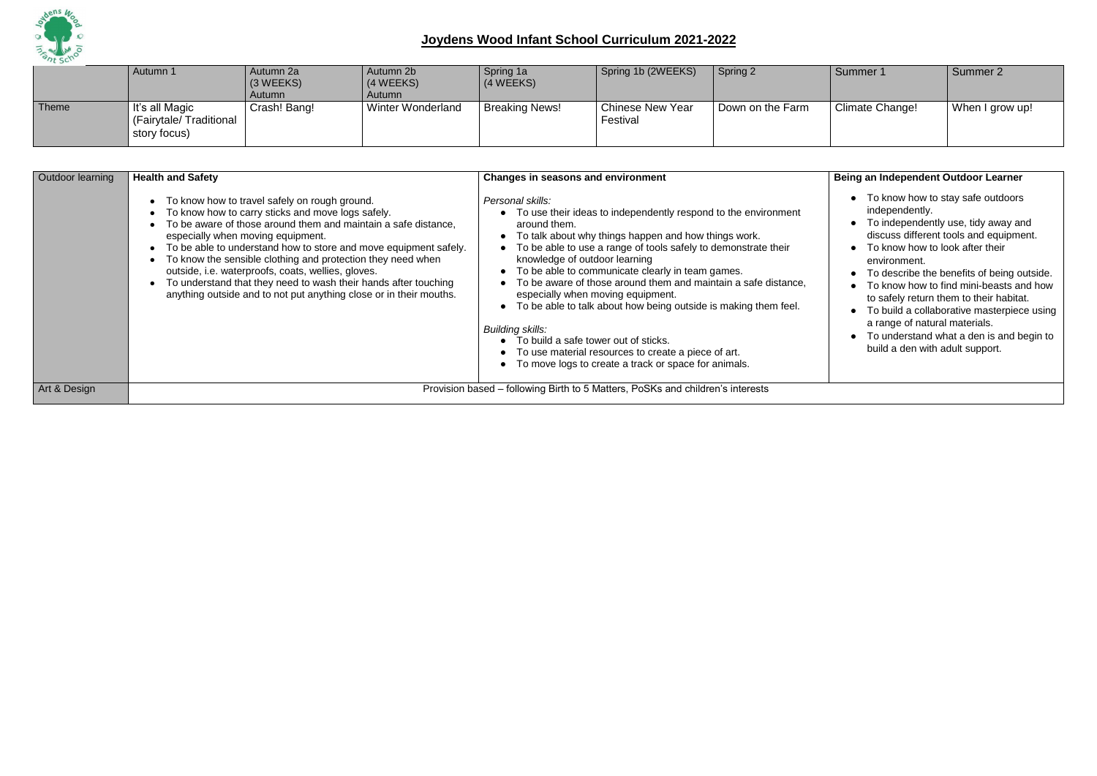

|       | Autumn 1                                                 | Autumn 2a<br>$(3 \, \text{WEEKS})$<br>Autumn | Autumn 2b<br>$(4 \text{ WEEKS})$<br>Autumn | Spring 1a<br>$(4 \text{ WEEKS})$ | Spring 1b (2WEEKS)                  | Spring 2         | Summer 1        | Summer 2        |
|-------|----------------------------------------------------------|----------------------------------------------|--------------------------------------------|----------------------------------|-------------------------------------|------------------|-----------------|-----------------|
| Theme | It's all Magic<br>(Fairytale/Traditional<br>story focus) | Crash! Bang!                                 | Winter Wonderland                          | <b>Breaking News!</b>            | <b>Chinese New Year</b><br>Festival | Down on the Farm | Climate Change! | When I grow up! |

- To know how to stay safe outdoors independently.
- To independently use, tidy away and discuss different tools and equipment.
- To know how to look after their environment.
- To describe the benefits of being outside.
- To know how to find mini-beasts and how to safely return them to their habitat.
- To build a collaborative masterpiece using a range of natural materials.
- To understand what a den is and begin to build a den with adult support.

| Outdoor learning | <b>Health and Safety</b>                                                                                                                                                                                                                                                                                                                                                                                                                                                                                                                    | <b>Changes in seasons and environment</b>                                                                                                                                                                                                                                                                                                                                                                                                                                                                                                                                                                                                                                                     |
|------------------|---------------------------------------------------------------------------------------------------------------------------------------------------------------------------------------------------------------------------------------------------------------------------------------------------------------------------------------------------------------------------------------------------------------------------------------------------------------------------------------------------------------------------------------------|-----------------------------------------------------------------------------------------------------------------------------------------------------------------------------------------------------------------------------------------------------------------------------------------------------------------------------------------------------------------------------------------------------------------------------------------------------------------------------------------------------------------------------------------------------------------------------------------------------------------------------------------------------------------------------------------------|
|                  | To know how to travel safely on rough ground.<br>To know how to carry sticks and move logs safely.<br>To be aware of those around them and maintain a safe distance,<br>especially when moving equipment.<br>To be able to understand how to store and move equipment safely.<br>To know the sensible clothing and protection they need when<br>outside, i.e. waterproofs, coats, wellies, gloves.<br>To understand that they need to wash their hands after touching<br>anything outside and to not put anything close or in their mouths. | Personal skills:<br>• To use their ideas to independently respond to the environment<br>around them.<br>• To talk about why things happen and how things work.<br>To be able to use a range of tools safely to demonstrate their<br>knowledge of outdoor learning<br>• To be able to communicate clearly in team games.<br>• To be aware of those around them and maintain a safe distance,<br>especially when moving equipment.<br>• To be able to talk about how being outside is making them feel.<br><b>Building skills:</b><br>• To build a safe tower out of sticks.<br>• To use material resources to create a piece of art.<br>• To move logs to create a track or space for animals. |
| Art & Design     |                                                                                                                                                                                                                                                                                                                                                                                                                                                                                                                                             | Provision based – following Birth to 5 Matters, PoSKs and children's interests                                                                                                                                                                                                                                                                                                                                                                                                                                                                                                                                                                                                                |

#### **Being an Independent Outdoor Learner**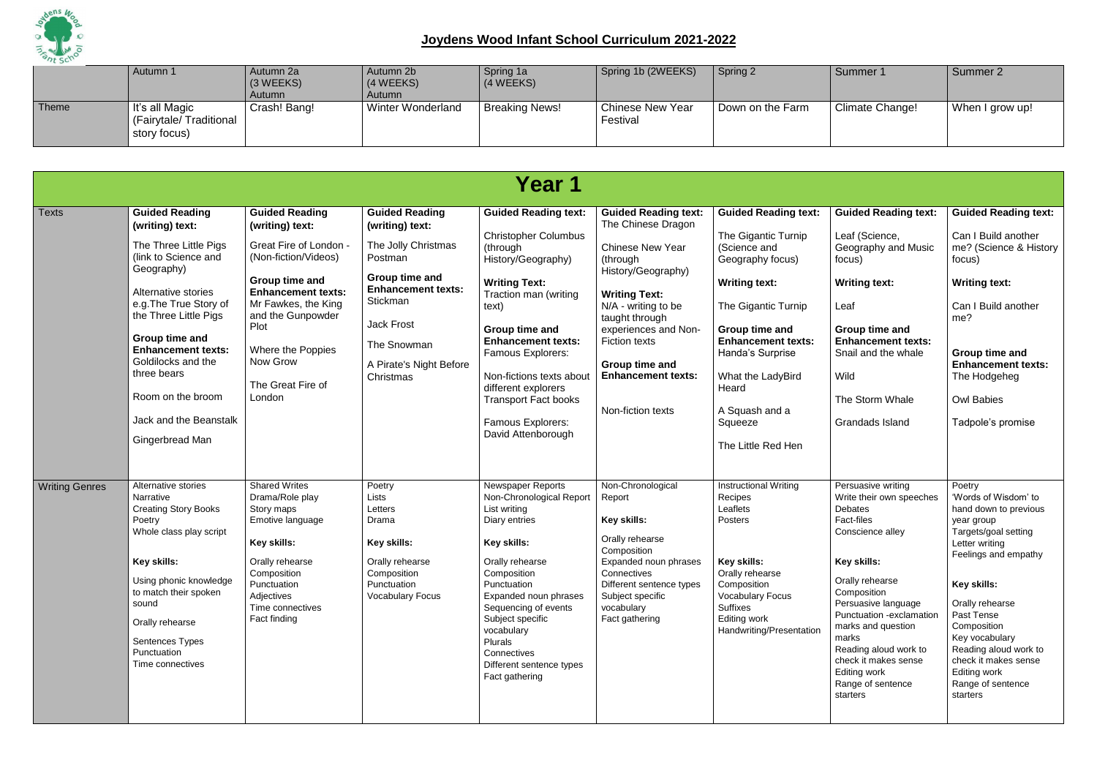

|       | Autumn 1                                                 | Autumn 2a<br>$(3 \, \text{WEEKS})$<br>Autumn | Autumn 2b<br>$(4 \text{ WEEKS})$<br>Autumn | Spring 1a<br>(4 WEEKS) | Spring 1b (2WEEKS)                  | Spring 2         | Summer 1        | Summer 2        |
|-------|----------------------------------------------------------|----------------------------------------------|--------------------------------------------|------------------------|-------------------------------------|------------------|-----------------|-----------------|
| Theme | It's all Magic<br>(Fairytale/Traditional<br>story focus) | Crash! Bang!                                 | <b>Winter Wonderland</b>                   | <b>Breaking News!</b>  | <b>Chinese New Year</b><br>Festival | Down on the Farm | Climate Change! | When I grow up! |

| Year 1                |                                                                                                                                                                                                                                                          |                                                                                                                                                                                                                                                                                  |                                                                                                                                       |                                                                                                                                                                                                                                                                                                           |                                                                                                                                                                                                      |                                                                                                                                                                                                           |                                                                                                                                                                                                                                                                                                                                         |                                                                                                                                                                                                                                                                                                                            |  |  |
|-----------------------|----------------------------------------------------------------------------------------------------------------------------------------------------------------------------------------------------------------------------------------------------------|----------------------------------------------------------------------------------------------------------------------------------------------------------------------------------------------------------------------------------------------------------------------------------|---------------------------------------------------------------------------------------------------------------------------------------|-----------------------------------------------------------------------------------------------------------------------------------------------------------------------------------------------------------------------------------------------------------------------------------------------------------|------------------------------------------------------------------------------------------------------------------------------------------------------------------------------------------------------|-----------------------------------------------------------------------------------------------------------------------------------------------------------------------------------------------------------|-----------------------------------------------------------------------------------------------------------------------------------------------------------------------------------------------------------------------------------------------------------------------------------------------------------------------------------------|----------------------------------------------------------------------------------------------------------------------------------------------------------------------------------------------------------------------------------------------------------------------------------------------------------------------------|--|--|
| <b>Texts</b>          | <b>Guided Reading</b><br>(writing) text:<br>The Three Little Pigs<br>(link to Science and<br>Geography)<br>Alternative stories<br>e.g. The True Story of<br>the Three Little Pigs                                                                        | <b>Guided Reading</b><br>(writing) text:<br>Great Fire of London -<br>(Non-fiction/Videos)<br>Group time and<br><b>Enhancement texts:</b><br>Mr Fawkes, the King<br>and the Gunpowder                                                                                            | <b>Guided Reading</b><br>(writing) text:<br>The Jolly Christmas<br>Postman<br>Group time and<br><b>Enhancement texts:</b><br>Stickman | <b>Guided Reading text:</b><br><b>Christopher Columbus</b><br>(through<br>History/Geography)<br><b>Writing Text:</b><br>Traction man (writing<br>text)                                                                                                                                                    | <b>Guided Reading text:</b><br>The Chinese Dragon<br><b>Chinese New Year</b><br>(through<br>History/Geography)<br><b>Writing Text:</b><br>N/A - writing to be<br>taught through                      | <b>Guided Reading text:</b><br>The Gigantic Turnip<br>(Science and<br>Geography focus)<br><b>Writing text:</b><br>The Gigantic Turnip                                                                     | <b>Guided Reading text:</b><br>Leaf (Science,<br>Geography and Music<br>focus)<br><b>Writing text:</b><br>Leaf                                                                                                                                                                                                                          | <b>Guided Reading text:</b><br>Can I Build another<br>me? (Science & History<br>focus)<br><b>Writing text:</b><br>Can I Build another<br>me?                                                                                                                                                                               |  |  |
|                       | Plot<br>Group time and<br><b>Enhancement texts:</b><br>Where the Poppies<br>Now Grow<br>Goldilocks and the<br>three bears<br>The Great Fire of<br>Room on the broom<br>London<br>Jack and the Beanstalk<br>Gingerbread Man                               | <b>Jack Frost</b><br>Group time and<br><b>Enhancement texts:</b><br>The Snowman<br><b>Famous Explorers:</b><br>A Pirate's Night Before<br>Non-fictions texts about<br>Christmas<br>different explorers<br><b>Transport Fact books</b><br>Famous Explorers:<br>David Attenborough | experiences and Non-<br><b>Fiction texts</b><br>Group time and<br><b>Enhancement texts:</b><br>Non-fiction texts                      | Group time and<br><b>Enhancement texts:</b><br>Handa's Surprise<br>What the LadyBird<br>Heard<br>A Squash and a<br>Squeeze<br>The Little Red Hen                                                                                                                                                          | Group time and<br><b>Enhancement texts:</b><br>Snail and the whale<br>Wild<br>The Storm Whale<br>Grandads Island                                                                                     | Group time and<br><b>Enhancement texts:</b><br>The Hodgeheg<br><b>Owl Babies</b><br>Tadpole's promise                                                                                                     |                                                                                                                                                                                                                                                                                                                                         |                                                                                                                                                                                                                                                                                                                            |  |  |
| <b>Writing Genres</b> | Alternative stories<br>Narrative<br><b>Creating Story Books</b><br>Poetry<br>Whole class play script<br>Key skills:<br>Using phonic knowledge<br>to match their spoken<br>sound<br>Orally rehearse<br>Sentences Types<br>Punctuation<br>Time connectives | <b>Shared Writes</b><br>Drama/Role play<br>Story maps<br>Emotive language<br>Key skills:<br>Orally rehearse<br>Composition<br>Punctuation<br>Adjectives<br>Time connectives<br>Fact finding                                                                                      | Poetry<br>Lists<br>Letters<br>Drama<br>Key skills:<br>Orally rehearse<br>Composition<br>Punctuation<br><b>Vocabulary Focus</b>        | Newspaper Reports<br>Non-Chronological Report<br>List writing<br>Diary entries<br>Key skills:<br>Orally rehearse<br>Composition<br>Punctuation<br>Expanded noun phrases<br>Sequencing of events<br>Subject specific<br>vocabulary<br>Plurals<br>Connectives<br>Different sentence types<br>Fact gathering | Non-Chronological<br>Report<br>Key skills:<br>Orally rehearse<br>Composition<br>Expanded noun phrases<br>Connectives<br>Different sentence types<br>Subject specific<br>vocabulary<br>Fact gathering | <b>Instructional Writing</b><br>Recipes<br>Leaflets<br>Posters<br>Key skills:<br>Orally rehearse<br>Composition<br><b>Vocabulary Focus</b><br><b>Suffixes</b><br>Editing work<br>Handwriting/Presentation | Persuasive writing<br>Write their own speeches<br><b>Debates</b><br>Fact-files<br>Conscience alley<br>Key skills:<br>Orally rehearse<br>Composition<br>Persuasive language<br>Punctuation -exclamation<br>marks and question<br>marks<br>Reading aloud work to<br>check it makes sense<br>Editing work<br>Range of sentence<br>starters | Poetry<br>'Words of Wisdom' to<br>hand down to previous<br>year group<br>Targets/goal setting<br>Letter writing<br>Feelings and empathy<br>Key skills:<br>Orally rehearse<br>Past Tense<br>Composition<br>Key vocabulary<br>Reading aloud work to<br>check it makes sense<br>Editing work<br>Range of sentence<br>starters |  |  |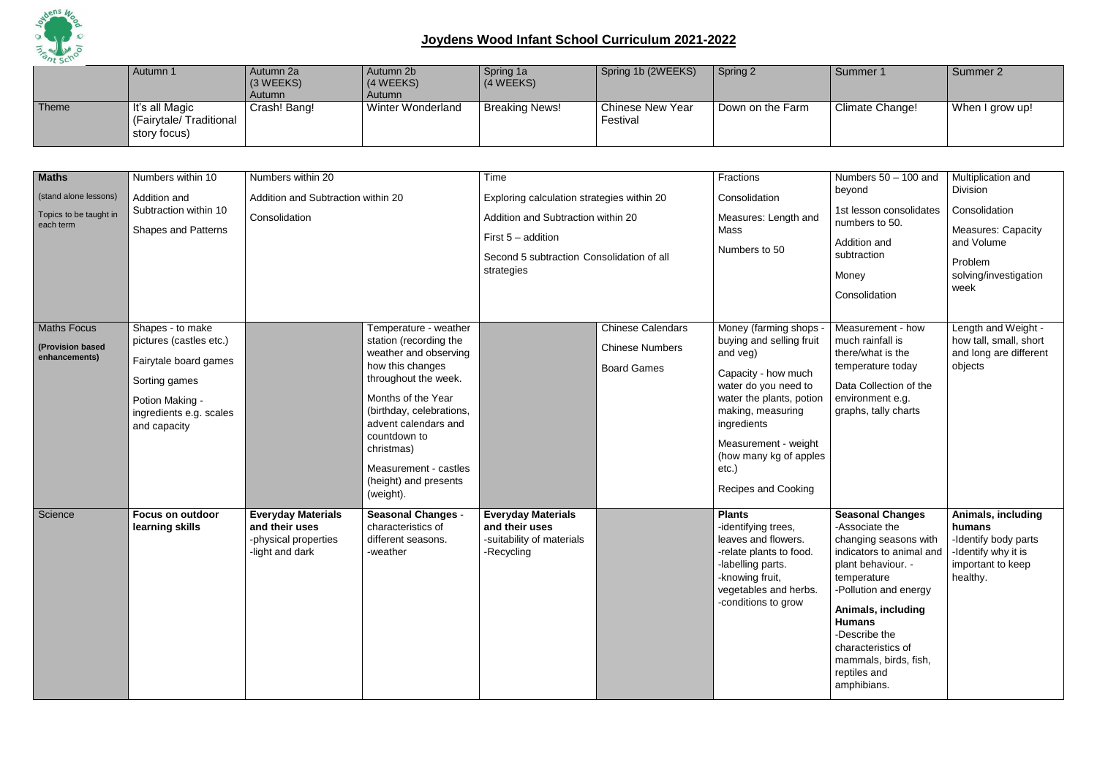

|       | Autumn 1                                                            | Autumn 2a<br>$(3 \, \text{WEEKS})$<br>Autumn | Autumn 2b<br>(4 WEEKS)<br>Autumn | Spring 1a<br>(4 WEEKS) | Spring 1b (2WEEKS)                  | Spring 2         | Summer 1        | Summer 2        |
|-------|---------------------------------------------------------------------|----------------------------------------------|----------------------------------|------------------------|-------------------------------------|------------------|-----------------|-----------------|
| Theme | $\vert$ It's all Magic<br>  (Fairytale/ Traditional<br>story focus) | Crash! Bang!                                 | <b>Winter Wonderland</b>         | <b>Breaking News!</b>  | <b>Chinese New Year</b><br>Festival | Down on the Farm | Climate Change! | When I grow up! |

| <b>Maths</b><br>(stand alone lessons)<br>Topics to be taught in<br>each term | Numbers within 10<br>Addition and<br>Subtraction within 10<br><b>Shapes and Patterns</b>                                                            | Numbers within 20<br>Addition and Subtraction within 20<br>Consolidation               |                                                                                                                                                                                                                                                                                             | Time<br>Exploring calculation strategies within 20<br>Addition and Subtraction within 20<br>First $5 -$ addition<br>Second 5 subtraction Consolidation of all<br>strategies |                                                                          | Fractions<br>Consolidation<br>Measures: Length and<br>Mass<br>Numbers to 50                                                                                                                                                                                             | Numbers $50 - 100$ and<br>beyond<br>1st lesson consolidates<br>numbers to 50.<br>Addition and<br>subtraction<br>Money<br>Consolidation                                                                                                                                                             | Multiplication and<br><b>Division</b><br>Consolidation<br><b>Measures: Capacity</b><br>and Volume<br>Problem<br>solving/investigation<br>week |
|------------------------------------------------------------------------------|-----------------------------------------------------------------------------------------------------------------------------------------------------|----------------------------------------------------------------------------------------|---------------------------------------------------------------------------------------------------------------------------------------------------------------------------------------------------------------------------------------------------------------------------------------------|-----------------------------------------------------------------------------------------------------------------------------------------------------------------------------|--------------------------------------------------------------------------|-------------------------------------------------------------------------------------------------------------------------------------------------------------------------------------------------------------------------------------------------------------------------|----------------------------------------------------------------------------------------------------------------------------------------------------------------------------------------------------------------------------------------------------------------------------------------------------|-----------------------------------------------------------------------------------------------------------------------------------------------|
| <b>Maths Focus</b><br>(Provision based<br>enhancements)                      | Shapes - to make<br>pictures (castles etc.)<br>Fairytale board games<br>Sorting games<br>Potion Making -<br>ingredients e.g. scales<br>and capacity |                                                                                        | Temperature - weather<br>station (recording the<br>weather and observing<br>how this changes<br>throughout the week.<br>Months of the Year<br>(birthday, celebrations,<br>advent calendars and<br>countdown to<br>christmas)<br>Measurement - castles<br>(height) and presents<br>(weight). |                                                                                                                                                                             | <b>Chinese Calendars</b><br><b>Chinese Numbers</b><br><b>Board Games</b> | Money (farming shops<br>buying and selling fruit<br>and veg)<br>Capacity - how much<br>water do you need to<br>water the plants, potion<br>making, measuring<br>ingredients<br>Measurement - weight<br>(how many kg of apples<br>$etc.$ )<br><b>Recipes and Cooking</b> | Measurement - how<br>much rainfall is<br>there/what is the<br>temperature today<br>Data Collection of the<br>environment e.g.<br>graphs, tally charts                                                                                                                                              | Length and Weight -<br>how tall, small, short<br>and long are different<br>objects                                                            |
| Science                                                                      | <b>Focus on outdoor</b><br>learning skills                                                                                                          | <b>Everyday Materials</b><br>and their uses<br>-physical properties<br>-light and dark | <b>Seasonal Changes -</b><br>characteristics of<br>different seasons.<br>-weather                                                                                                                                                                                                           | <b>Everyday Materials</b><br>and their uses<br>-suitability of materials<br>-Recycling                                                                                      |                                                                          | <b>Plants</b><br>-identifying trees,<br>leaves and flowers.<br>-relate plants to food.<br>-labelling parts.<br>-knowing fruit,<br>vegetables and herbs.<br>-conditions to grow                                                                                          | <b>Seasonal Changes</b><br>-Associate the<br>changing seasons with<br>indicators to animal and<br>plant behaviour. -<br>temperature<br>-Pollution and energy<br>Animals, including<br><b>Humans</b><br>-Describe the<br>characteristics of<br>mammals, birds, fish,<br>reptiles and<br>amphibians. | Animals, including<br>humans<br>-Identify body parts<br>-Identify why it is<br>important to keep<br>healthy.                                  |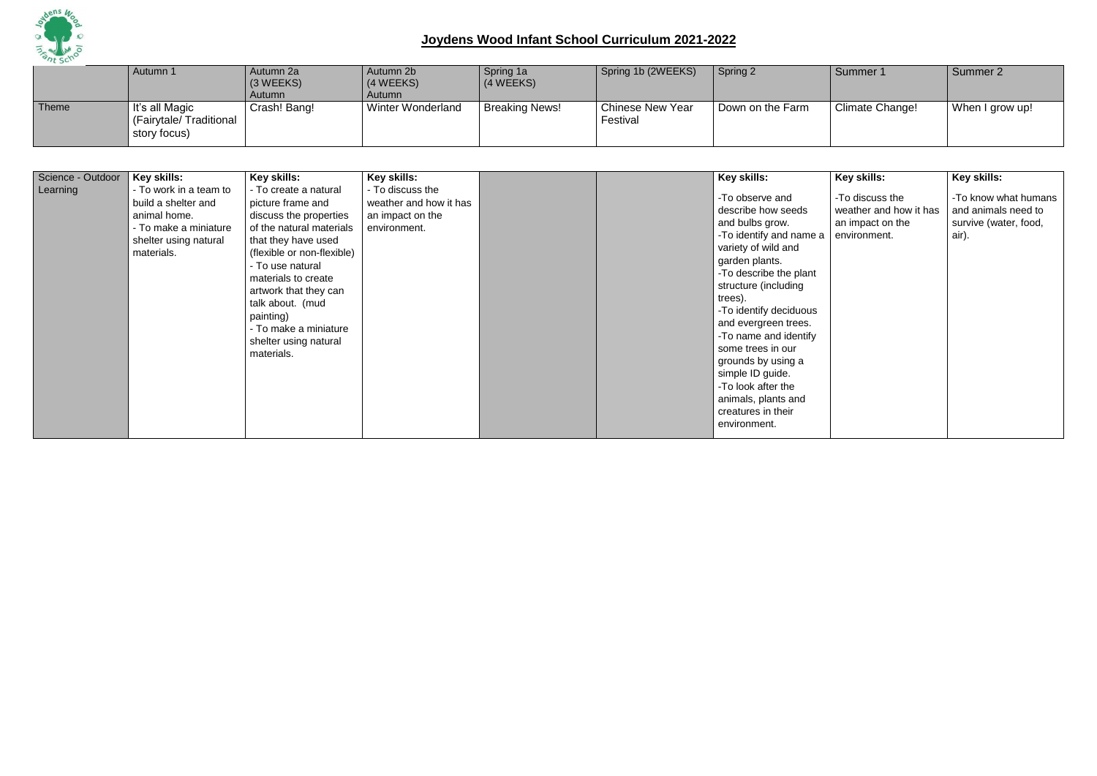

|       | Autumn 1                                                 | Autumn 2a<br>$(3 \, \text{WEEKS})$<br>Autumn | Autumn 2b<br>(4 WEEKS)<br>Autumn | Spring 1a<br>(4 WEEKS) | Spring 1b (2WEEKS)                  | Spring 2         | Summer 1        | Summer 2        |
|-------|----------------------------------------------------------|----------------------------------------------|----------------------------------|------------------------|-------------------------------------|------------------|-----------------|-----------------|
| Theme | It's all Magic<br>(Fairytale/Traditional<br>story focus) | Crash! Bang!                                 | <b>Winter Wonderland</b>         | <b>Breaking News!</b>  | <b>Chinese New Year</b><br>Festival | Down on the Farm | Climate Change! | When I grow up! |

| Science - Outdoor<br>Learning | Key skills:<br>- To work in a team to<br>build a shelter and<br>animal home.<br>- To make a miniature<br>shelter using natural<br>materials. | Key skills:<br>- To create a natural<br>picture frame and<br>discuss the properties<br>of the natural materials<br>that they have used<br>(flexible or non-flexible)<br>- To use natural<br>materials to create<br>artwork that they can<br>talk about. (mud<br>painting)<br>- To make a miniature<br>shelter using natural<br>materials. | Key skills:<br>- To discuss the<br>weather and how it has<br>an impact on the<br>environment. |  |  | Key skills:<br>-To observe and<br>describe how seeds<br>and bulbs grow.<br>-To identify and name a<br>variety of wild and<br>garden plants.<br>-To describe the plant<br>structure (including<br>trees).<br>-To identify deciduous<br>and evergreen trees.<br>-To name and identify<br>some trees in our<br>grounds by using a<br>simple ID guide.<br>-To look after the<br>animals, plants and<br>creatures in their<br>environment. | Key skills:<br>-To discuss the<br>weather and how it has<br>an impact on the<br>environment. | Key skills:<br>-To know what humans<br>and animals need to<br>survive (water, food,<br>air). |
|-------------------------------|----------------------------------------------------------------------------------------------------------------------------------------------|-------------------------------------------------------------------------------------------------------------------------------------------------------------------------------------------------------------------------------------------------------------------------------------------------------------------------------------------|-----------------------------------------------------------------------------------------------|--|--|---------------------------------------------------------------------------------------------------------------------------------------------------------------------------------------------------------------------------------------------------------------------------------------------------------------------------------------------------------------------------------------------------------------------------------------|----------------------------------------------------------------------------------------------|----------------------------------------------------------------------------------------------|
|-------------------------------|----------------------------------------------------------------------------------------------------------------------------------------------|-------------------------------------------------------------------------------------------------------------------------------------------------------------------------------------------------------------------------------------------------------------------------------------------------------------------------------------------|-----------------------------------------------------------------------------------------------|--|--|---------------------------------------------------------------------------------------------------------------------------------------------------------------------------------------------------------------------------------------------------------------------------------------------------------------------------------------------------------------------------------------------------------------------------------------|----------------------------------------------------------------------------------------------|----------------------------------------------------------------------------------------------|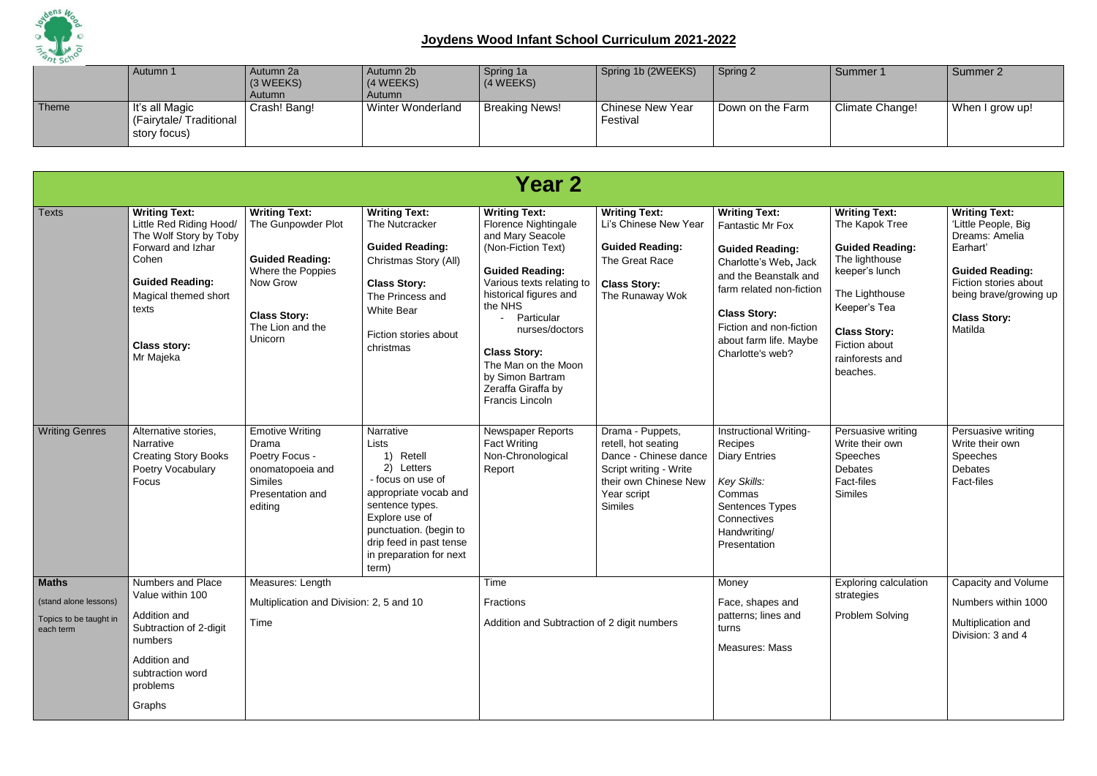

|       | Autumn 1                                                 | Autumn 2a<br>$(3 \, \text{WEEKS})$<br>Autumn | Autumn 2b<br>(4 WEEKS)<br>Autumn | Spring 1a<br>(4 WEEKS) | Spring 1b (2WEEKS)                  | Spring 2         | Summer 1        | Summer 2        |
|-------|----------------------------------------------------------|----------------------------------------------|----------------------------------|------------------------|-------------------------------------|------------------|-----------------|-----------------|
| Theme | It's all Magic<br>(Fairytale/Traditional<br>story focus) | Crash! Bang!                                 | Winter Wonderland                | <b>Breaking News!</b>  | <b>Chinese New Year</b><br>Festival | Down on the Farm | Climate Change! | When I grow up! |

|                                                                              |                                                                                                                                                                                                        |                                                                                                                                                             |                                                                                                                                                                                                                           | <b>Year 2</b>                                                                                                                                                                                                                                                                                                                        |                                                                                                                                                      |                                                                                                                                                                                                                                                         |                                                                                                                                                                                                               |                                                                                                                                                                                          |
|------------------------------------------------------------------------------|--------------------------------------------------------------------------------------------------------------------------------------------------------------------------------------------------------|-------------------------------------------------------------------------------------------------------------------------------------------------------------|---------------------------------------------------------------------------------------------------------------------------------------------------------------------------------------------------------------------------|--------------------------------------------------------------------------------------------------------------------------------------------------------------------------------------------------------------------------------------------------------------------------------------------------------------------------------------|------------------------------------------------------------------------------------------------------------------------------------------------------|---------------------------------------------------------------------------------------------------------------------------------------------------------------------------------------------------------------------------------------------------------|---------------------------------------------------------------------------------------------------------------------------------------------------------------------------------------------------------------|------------------------------------------------------------------------------------------------------------------------------------------------------------------------------------------|
| <b>Texts</b>                                                                 | <b>Writing Text:</b><br>Little Red Riding Hood/<br>The Wolf Story by Toby<br>Forward and Izhar<br>Cohen<br><b>Guided Reading:</b><br>Magical themed short<br>texts<br><b>Class story:</b><br>Mr Majeka | <b>Writing Text:</b><br>The Gunpowder Plot<br><b>Guided Reading:</b><br>Where the Poppies<br>Now Grow<br><b>Class Story:</b><br>The Lion and the<br>Unicorn | <b>Writing Text:</b><br>The Nutcracker<br><b>Guided Reading:</b><br>Christmas Story (All)<br><b>Class Story:</b><br>The Princess and<br><b>White Bear</b><br>Fiction stories about<br>christmas                           | <b>Writing Text:</b><br><b>Florence Nightingale</b><br>and Mary Seacole<br>(Non-Fiction Text)<br><b>Guided Reading:</b><br>Various texts relating to<br>historical figures and<br>the NHS<br>Particular<br>nurses/doctors<br><b>Class Story:</b><br>The Man on the Moon<br>by Simon Bartram<br>Zeraffa Giraffa by<br>Francis Lincoln | <b>Writing Text:</b><br>Li's Chinese New Year<br><b>Guided Reading:</b><br>The Great Race<br><b>Class Story:</b><br>The Runaway Wok                  | <b>Writing Text:</b><br><b>Fantastic Mr Fox</b><br><b>Guided Reading:</b><br>Charlotte's Web, Jack<br>and the Beanstalk and<br>farm related non-fiction<br><b>Class Story:</b><br>Fiction and non-fiction<br>about farm life. Maybe<br>Charlotte's web? | <b>Writing Text:</b><br>The Kapok Tree<br><b>Guided Reading:</b><br>The lighthouse<br>keeper's lunch<br>The Lighthouse<br>Keeper's Tea<br><b>Class Story:</b><br>Fiction about<br>rainforests and<br>beaches. | <b>Writing Text:</b><br>'Little People, Big<br>Dreams: Amelia<br>Earhart'<br><b>Guided Reading:</b><br>Fiction stories about<br>being brave/growing up<br><b>Class Story:</b><br>Matilda |
| <b>Writing Genres</b>                                                        | Alternative stories,<br><b>Narrative</b><br><b>Creating Story Books</b><br>Poetry Vocabulary<br>Focus                                                                                                  | <b>Emotive Writing</b><br>Drama<br>Poetry Focus -<br>onomatopoeia and<br><b>Similes</b><br>Presentation and<br>editing                                      | Narrative<br>Lists<br>Retell<br>Letters<br>2)<br>- focus on use of<br>appropriate vocab and<br>sentence types.<br>Explore use of<br>punctuation. (begin to<br>drip feed in past tense<br>in preparation for next<br>term) | <b>Newspaper Reports</b><br><b>Fact Writing</b><br>Non-Chronological<br>Report                                                                                                                                                                                                                                                       | Drama - Puppets,<br>retell, hot seating<br>Dance - Chinese dance<br>Script writing - Write<br>their own Chinese New<br>Year script<br><b>Similes</b> | Instructional Writing-<br>Recipes<br><b>Diary Entries</b><br>Key Skills:<br>Commas<br>Sentences Types<br>Connectives<br>Handwriting/<br>Presentation                                                                                                    | Persuasive writing<br>Write their own<br>Speeches<br><b>Debates</b><br><b>Fact-files</b><br><b>Similes</b>                                                                                                    | Persuasive writing<br>Write their own<br>Speeches<br><b>Debates</b><br><b>Fact-files</b>                                                                                                 |
| <b>Maths</b><br>(stand alone lessons)<br>Topics to be taught in<br>each term | <b>Numbers and Place</b><br>Value within 100<br>Addition and<br>Subtraction of 2-digit<br>numbers<br>Addition and<br>subtraction word<br>problems<br>Graphs                                            | Measures: Length<br>Multiplication and Division: 2, 5 and 10<br>Time                                                                                        |                                                                                                                                                                                                                           | Time<br>Fractions<br>Addition and Subtraction of 2 digit numbers                                                                                                                                                                                                                                                                     |                                                                                                                                                      | Money<br>Face, shapes and<br>patterns; lines and<br>turns<br><b>Measures: Mass</b>                                                                                                                                                                      | <b>Exploring calculation</b><br>strategies<br><b>Problem Solving</b>                                                                                                                                          | Capacity and Volume<br>Numbers within 1000<br>Multiplication and<br>Division: 3 and 4                                                                                                    |
|                                                                              |                                                                                                                                                                                                        |                                                                                                                                                             |                                                                                                                                                                                                                           |                                                                                                                                                                                                                                                                                                                                      |                                                                                                                                                      |                                                                                                                                                                                                                                                         |                                                                                                                                                                                                               |                                                                                                                                                                                          |